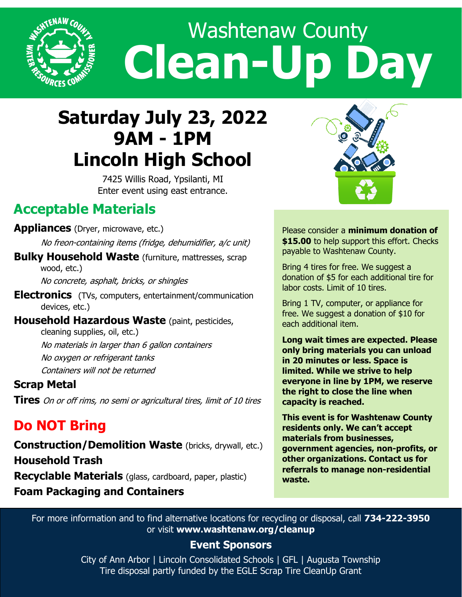

# Washtenaw County **Clean-Up Day**

## **Saturday July 23, 2022 9AM - 1PM Lincoln High School**

7425 Willis Road, Ypsilanti, MI Enter event using east entrance.

## **Acceptable Materials**

#### **Appliances** (Dryer, microwave, etc.)

No freon-containing items (fridge, dehumidifier, a/c unit)

**Bulky Household Waste** (furniture, mattresses, scrap wood, etc.) No concrete, asphalt, bricks, or shingles

**Electronics** (TVs, computers, entertainment/communication

devices, etc.)

**Household Hazardous Waste** (paint, pesticides, cleaning supplies, oil, etc.) No materials in larger than 6 gallon containers No oxygen or refrigerant tanks Containers will not be returned

#### **Scrap Metal**

**Tires** On or off rims, no semi or agricultural tires, limit of 10 tires

## **Do NOT Bring**

**Construction/Demolition Waste** (bricks, drywall, etc.) **Household Trash Recyclable Materials** (glass, cardboard, paper, plastic) **Foam Packaging and Containers**



Please consider a **minimum donation of \$15.00** to help support this effort. Checks payable to Washtenaw County.

Bring 4 tires for free. We suggest a donation of \$5 for each additional tire for labor costs. Limit of 10 tires.

Bring 1 TV, computer, or appliance for free. We suggest a donation of \$10 for each additional item.

**Long wait times are expected. Please only bring materials you can unload in 20 minutes or less. Space is limited. While we strive to help everyone in line by 1PM, we reserve the right to close the line when capacity is reached.** 

**This event is for Washtenaw County residents only. We can't accept materials from businesses, government agencies, non-profits, or other organizations. Contact us for referrals to manage non-residential waste.** 

For more information and to find alternative locations for recycling or disposal, call **734-222-3950**  or visit **www.washtenaw.org/cleanup**

#### **Event Sponsors**

City of Ann Arbor | Lincoln Consolidated Schools | GFL | Augusta Township Tire disposal partly funded by the EGLE Scrap Tire CleanUp Grant